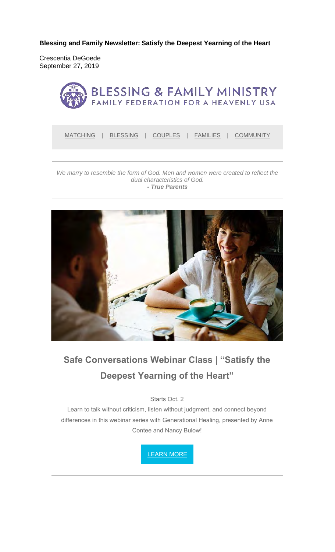**Blessing and Family Newsletter: Satisfy the Deepest Yearning of the Heart** 

Crescentia DeGoede September 27, 2019



MATCHING | BLESSING | COUPLES | FAMILIES | COMMUNITY

#### We marry to resemble the form of God. Men and women were created to reflect the *dual characteristics of God. - True Parents*



# **Safe Conversations Webinar Class | "Satisfy the Deepest Yearning of the Heart"**

Starts Oct. 2

Learn to talk without criticism, listen without judgment, and connect beyond differences in this webinar series with Generational Healing, presented by Anne Contee and Nancy Bulow!

LEARN MORE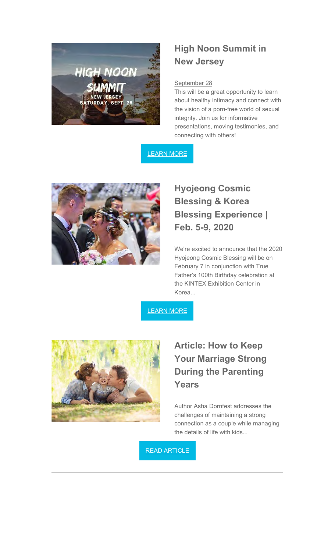

### **High Noon Summit in New Jersey**

#### September 28

This will be a great opportunity to learn about healthy intimacy and connect with the vision of a porn-free world of sexual integrity. Join us for informative presentations, moving testimonies, and connecting with others!

### LEARN MORE



## **Hyojeong Cosmic Blessing & Korea Blessing Experience | Feb. 5-9, 2020**

We're excited to announce that the 2020 Hyojeong Cosmic Blessing will be on February 7 in conjunction with True Father's 100th Birthday celebration at the KINTEX Exhibition Center in Korea...

LEARN MORE



# **Article: How to Keep Your Marriage Strong During the Parenting Years**

Author Asha Dornfest addresses the challenges of maintaining a strong connection as a couple while managing the details of life with kids...

READ ARTICLE